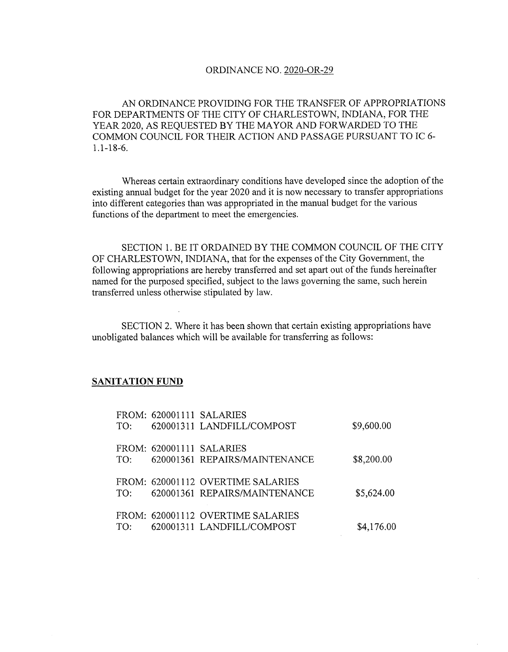## ORDINANCE NO. 2020-OR-29

AN ORDINANCE PROVIDING FOR THE TRANSFER OF APPROPRIATIONS FOR DEPARTMENTS OF THE CITY OF CHARLESTOWN, INDIANA, FOR THE YEAR 2020, AS REQUESTED BY THE MAYOR AND FORWARDED TO THE COMMON COUNCIL FOR THEIR ACTION AND PASSAGE PURSUANT TO IC 6 1.1-18-6.

Whereas certain extraordinary conditions have developed since the adoption of the existing annual budget for the year 2020 and it is now necessary to transfer appropriations into different categories than was appropriated in the manual budget for the various functions of the department to meet the emergencies.

SECTION 1. BE IT ORDAINED BY THE COMMON COUNCIL OF THE CITY OF CHARLESTOWN, INDIANA, that for the expenses of the City Government, the following appropriations are hereby transferred and set apart out of the funds hereinafter named for the purposed specified, subject to the laws governing the same, such herein transferred unless otherwise stipulated by law.

SECTION 2. Where it has been shown that certain existing appropriations have unobligated balances which will be available for transferring as follows;

## **SANITATION FUND**

|     | FROM: 620001111 SALARIES          |            |
|-----|-----------------------------------|------------|
| TO: | 620001311 LANDFILL/COMPOST        | \$9,600.00 |
|     |                                   |            |
|     | FROM: 620001111 SALARIES          |            |
| TO: | 620001361 REPAIRS/MAINTENANCE     | \$8,200.00 |
|     |                                   |            |
|     | FROM: 620001112 OVERTIME SALARIES |            |
| TO: | 620001361 REPAIRS/MAINTENANCE     | \$5,624.00 |
|     |                                   |            |
|     | FROM: 620001112 OVERTIME SALARIES |            |
| TO: | 620001311 LANDFILL/COMPOST        | \$4,176.00 |
|     |                                   |            |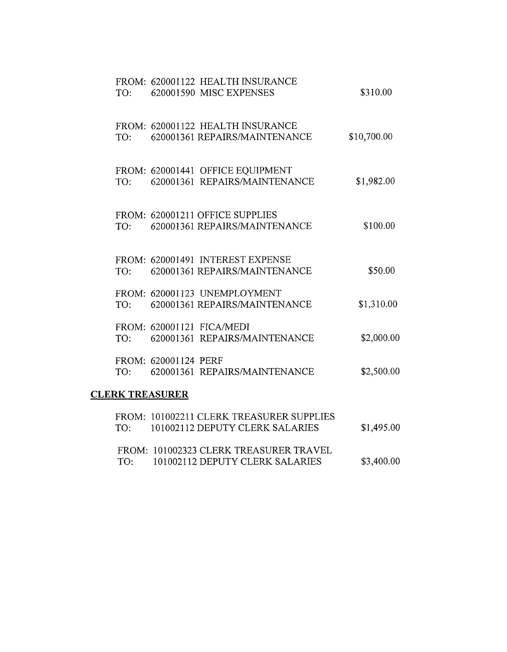| TO: |                        | FROM: 620001122 HEALTH INSURANCE<br>620001590 MISC EXPENSES                 | \$310.00    |
|-----|------------------------|-----------------------------------------------------------------------------|-------------|
| TO: |                        | FROM: 620001122 HEALTH INSURANCE<br>620001361 REPAIRS/MAINTENANCE           | \$10,700.00 |
| TO: |                        | FROM: 620001441 OFFICE EQUIPMENT<br>620001361 REPAIRS/MAINTENANCE           | \$1,982.00  |
| TO: |                        | FROM: 620001211 OFFICE SUPPLIES<br>620001361 REPAIRS/MAINTENANCE            | \$100.00    |
| TO: |                        | FROM: 620001491 INTEREST EXPENSE<br>620001361 REPAIRS/MAINTENANCE           | \$50.00     |
|     |                        | FROM: 620001123 UNEMPLOYMENT<br>TO: 620001361 REPAIRS/MAINTENANCE           | \$1,310.00  |
|     |                        | FROM: 620001121 FICA/MEDI<br>TO: 620001361 REPAIRS/MAINTENANCE              | \$2,000.00  |
| TO: | FROM: 620001124 PERF   | 620001361 REPAIRS/MAINTENANCE                                               | \$2,500.00  |
|     | <b>CLERK TREASURER</b> |                                                                             |             |
| TO: |                        | FROM: 101002211 CLERK TREASURER SUPPLIES<br>101002112 DEPUTY CLERK SALARIES | \$1,495.00  |
|     |                        |                                                                             |             |

|     | FROM: 101002323 CLERK TREASURER TRAVEL |            |
|-----|----------------------------------------|------------|
| TO: | 101002112 DEPUTY CLERK SALARIES        | \$3,400.00 |